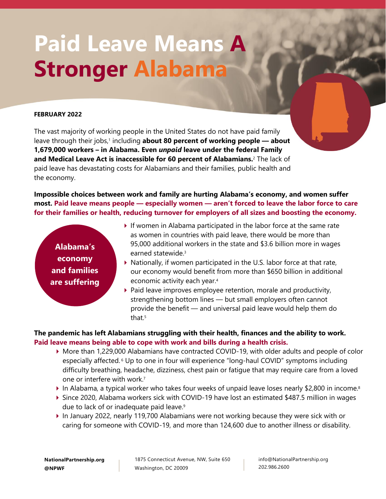# **Paid Leave Means A Stronger Alabama**

#### **FEBRUARY 2022**

The vast majority of working people in the United States do not have paid family leave through their jobs,<sup>1</sup> including about 80 percent of working people – about **1,679,000 workers – in Alabama. Even** *unpaid* **leave under the federal Family and Medical Leave Act is inaccessible for 60 percent of Alabamians.** <sup>2</sup> The lack of paid leave has devastating costs for Alabamians and their families, public health and the economy.

**Impossible choices between work and family are hurting Alabama's economy, and women suffer most. Paid leave means people — especially women — aren't forced to leave the labor force to care for their families or health, reducing turnover for employers of all sizes and boosting the economy.**

**Alabama's economy and families are suffering**

- $\blacktriangleright$  If women in Alabama participated in the labor force at the same rate as women in countries with paid leave, there would be more than 95,000 additional workers in the state and \$3.6 billion more in wages earned statewide.<sup>3</sup>
- ▶ Nationally, if women participated in the U.S. labor force at that rate, our economy would benefit from more than \$650 billion in additional economic activity each year.<sup>4</sup>
- $\triangleright$  Paid leave improves employee retention, morale and productivity, strengthening bottom lines — but small employers often cannot provide the benefit — and universal paid leave would help them do that. 5

# **The pandemic has left Alabamians struggling with their health, finances and the ability to work. Paid leave means being able to cope with work and bills during a health crisis.**

- More than 1,229,000 Alabamians have contracted COVID-19, with older adults and people of color especially affected. <sup>6</sup> Up to one in four will experience "long-haul COVID" symptoms including difficulty breathing, headache, dizziness, chest pain or fatigue that may require care from a loved one or interfere with work.<sup>7</sup>
- In Alabama, a typical worker who takes four weeks of unpaid leave loses nearly \$2,800 in income.<sup>8</sup>
- Since 2020, Alabama workers sick with COVID-19 have lost an estimated \$487.5 million in wages due to lack of or inadequate paid leave.<sup>9</sup>
- In January 2022, nearly 119,700 Alabamians were not working because they were sick with or caring for someone with COVID-19, and more than 124,600 due to another illness or disability.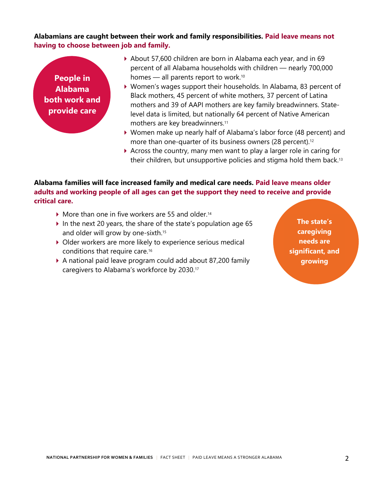## **Alabamians are caught between their work and family responsibilities. Paid leave means not having to choose between job and family.**



- About 57,600 children are born in Alabama each year, and in 69 percent of all Alabama households with children — nearly 700,000 homes — all parents report to work. 10
- Women's wages support their households. In Alabama, 83 percent of Black mothers, 45 percent of white mothers, 37 percent of Latina mothers and 39 of AAPI mothers are key family breadwinners. Statelevel data is limited, but nationally 64 percent of Native American mothers are key breadwinners.<sup>11</sup>
- Women make up nearly half of Alabama's labor force (48 percent) and more than one-quarter of its business owners (28 percent).<sup>12</sup>
- $\triangleright$  Across the country, many men want to play a larger role in caring for their children, but unsupportive policies and stigma hold them back.<sup>13</sup>

## **Alabama families will face increased family and medical care needs. Paid leave means older adults and working people of all ages can get the support they need to receive and provide critical care.**

- $\blacktriangleright$  More than one in five workers are 55 and older.<sup>14</sup>
- In the next 20 years, the share of the state's population age 65 and older will grow by one-sixth. 15
- ▶ Older workers are more likely to experience serious medical conditions that require care.<sup>16</sup>
- A national paid leave program could add about 87,200 family caregivers to Alabama's workforce by 2030.<sup>17</sup>

**The state's caregiving needs are significant, and growing**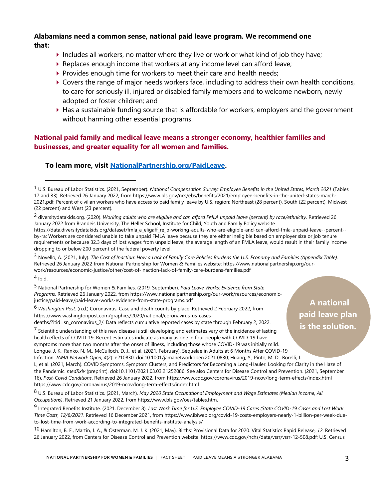## **Alabamians need a common sense, national paid leave program. We recommend one that:**

- Includes all workers, no matter where they live or work or what kind of job they have;
- $\blacktriangleright$  Replaces enough income that workers at any income level can afford leave;
- Provides enough time for workers to meet their care and health needs;
- Covers the range of major needs workers face, including to address their own health conditions, to care for seriously ill, injured or disabled family members and to welcome newborn, newly adopted or foster children; and
- Has a sustainable funding source that is affordable for workers, employers and the government without harming other essential programs.

# **National paid family and medical leave means a stronger economy, healthier families and businesses, and greater equality for all women and families.**

## **To learn more, visit [NationalPartnership.org/PaidLeave.](https://www.nationalpartnership.org/our-work/economic-justice/paid-leave.html)**

3 Novello, A. (2021, July). *The Cost of Inaction: How a Lack of Family Care Policies Burdens the U.S. Economy and Families (Appendix Table)*. Retrieved 26 January 2022 from National Partnership for Women & Families website: https://www.nationalpartnership.org/ourwork/resources/economic-justice/other/cost-of-inaction-lack-of-family-care-burdens-families.pdf

 $4$  Ibid.

5 National Partnership for Women & Families. (2019, September). *Paid Leave Works: Evidence from State Programs*. Retrieved 26 January 2022, from https://www.nationalpartnership.org/our-work/resources/economicjustice/paid-leave/paid-leave-works-evidence-from-state-programs.pdf

6 *Washington Post*. (n.d.) Coronavirus: Case and death counts by place. Retrieved 2 February 2022, from https://www.washingtonpost.com/graphics/2020/national/coronavirus-us-casesdeaths/?itid=sn\_coronavirus\_2/. Data reflects cumulative reported cases by state through February 2, 2022.

 $^7$  Scientific understanding of this new disease is still developing and estimates vary of the incidence of lasting health effects of COVID-19. Recent estimates indicate as many as one in four people with COVID-19 have symptoms more than two months after the onset of illness, including those whose COVID-19 was initially mild.

Longue, J. K., Ranko, N. M., McCulloch, D. J., et al. (2021, February). Sequelae in Adults at 6 Months After COVID-19 Infection. *JAMA Network Open*, *4*(2): e210830. doi:10.1001/jamanetworkopen.2021.0830; Huang, Y., Pinto, M. D., Borelli, J. L, et al. (2021, March). COVID Symptoms, Symptom Clusters, and Predictors for Becoming a Long-Hauler: Looking for Clarity in the Haze of the Pandemic. *medRxiv* (preprint). doi:10.1101/2021.03.03.21252086. See also Centers for Disease Control and Prevention. (2021, September 16). *Post-Covid Conditions*. Retrieved 26 January 2022, from https://www.cdc.gov/coronavirus/2019-ncov/long-term-effects/index.html https://www.cdc.gov/coronavirus/2019-ncov/long-term-effects/index.html

8 U.S. Bureau of Labor Statistics. (2021, March). *May 2020 State Occupational Employment and Wage Estimates (Median Income, All Occupations)*. Retrieved 21 January 2022, from https://www.bls.gov/oes/tables.htm.

9 Integrated Benefits Institute. (2021, December 8). *Lost Work Time for U.S. Employee COVID-19 Cases (State COVID-19 Cases and Lost Work Time Costs, 12/8/2021*. Retrieved 16 December 2021, from https://www.ibiweb.org/covid-19-costs-employers-nearly-1-billion-per-week-dueto-lost-time-from-work-according-to-integrated-benefits-institute-analysis/

10 Hamilton, B. E., Martin, J. A., & Osterman, M. J. K. (2021, May). Births: Provisional Data for 2020. Vital Statistics Rapid Release, *12*. Retrieved 26 January 2022, from Centers for Disease Control and Prevention website: https://www.cdc.gov/nchs/data/vsrr/vsrr-12-508.pdf; U.S. Census

**paid leave plan is the solution.**

**A national** 

<sup>1</sup> U.S. Bureau of Labor Statistics. (2021, September). *National Compensation Survey: Employee Benefits in the United States, March 2021* (Tables 17 and 33). Retrieved 26 January 2022, from https://www.bls.gov/ncs/ebs/benefits/2021/employee-benefits-in-the-united-states-march-2021.pdf; Percent of civilian workers who have access to paid family leave by U.S. region: Northeast (28 percent), South (22 percent), Midwest (22 percent) and West (23 percent).

<sup>2</sup> diversitydatakids.org. (2020). *Working adults who are eligible and can afford FMLA unpaid leave (percent) by race/ethnicity*. Retrieved 26 January 2022 from Brandeis University, The Heller School, Institute for Child, Youth and Family Policy website https://data.diversitydatakids.org/dataset/fmla\_a\_eligaff\_re\_p-working-adults-who-are-eligible-and-can-afford-fmla-unpaid-leave--percent- by-ra; Workers are considered unable to take unpaid FMLA leave because they are either ineligible based on employer size or job tenure requirements or because 32.3 days of lost wages from unpaid leave, the average length of an FMLA leave, would result in their family income dropping to or below 200 percent of the federal poverty level.